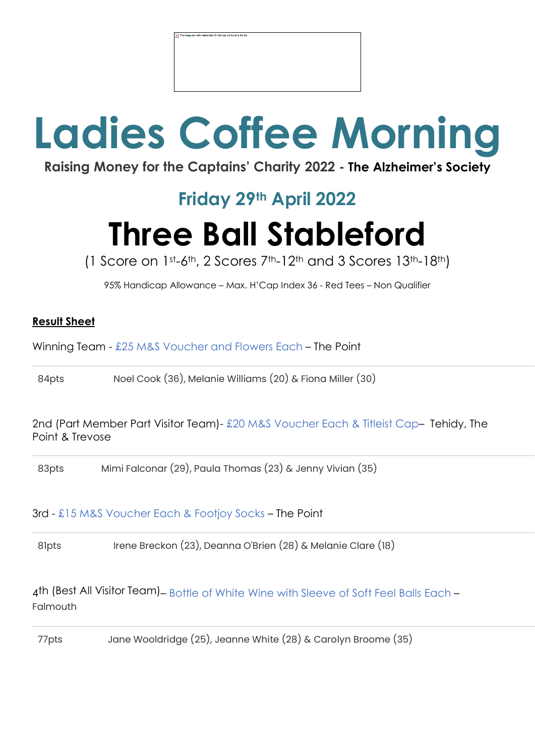# **Ladies Coffee Morning**

**Raising Money for the Captains' Charity 2022 - The Alzheimer's Society**

### **Friday 29th April 2022**

## **Three Ball Stableford**

(1 Score on  $1<sup>st</sup> - 6<sup>th</sup>$ , 2 Scores  $7<sup>th</sup> - 12<sup>th</sup>$  and 3 Scores  $13<sup>th</sup> - 18<sup>th</sup>$ )

95% Handicap Allowance – Max. H'Cap Index 36 - Red Tees – Non Qualifier

#### **Result Sheet**

Winning Team - £25 M&S Voucher and Flowers Each – The Point

84pts Noel Cook (36), Melanie Williams (20) & Fiona Miller (30)

2nd (Part Member Part Visitor Team)- £20 M&S Voucher Each & Titleist Cap– Tehidy, The Point & Trevose

83pts Mimi Falconar (29), Paula Thomas (23) & Jenny Vivian (35)

#### 3rd - £15 M&S Voucher Each & Footjoy Socks – The Point

81pts Irene Breckon (23), Deanna O'Brien (28) & Melanie Clare (18)

4th (Best All Visitor Team) – Bottle of White Wine with Sleeve of Soft Feel Balls Each – Falmouth

77pts Jane Wooldridge (25), Jeanne White (28) & Carolyn Broome (35)